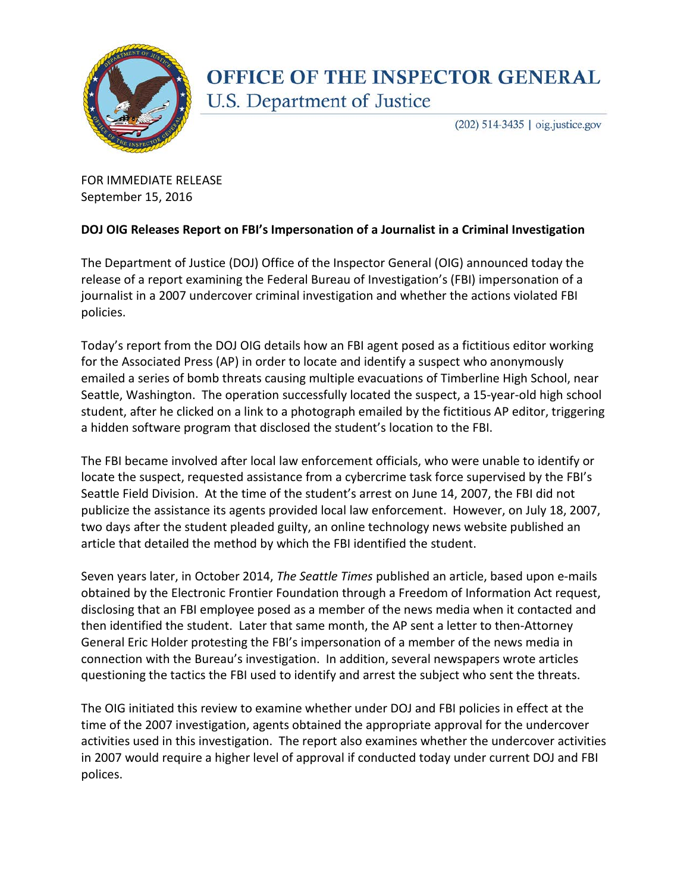

## **OFFICE OF THE INSPECTOR GENERAL** U.S. Department of Justice

(202) 514-3435 | oig.justice.gov

FOR IMMEDIATE RELEASE September 15, 2016

## **DOJ OIG Releases Report on FBI's Impersonation of a Journalist in a Criminal Investigation**

The Department of Justice (DOJ) Office of the Inspector General (OIG) announced today the release of a report examining the Federal Bureau of Investigation's (FBI) impersonation of a journalist in a 2007 undercover criminal investigation and whether the actions violated FBI policies.

Today's report from the DOJ OIG details how an FBI agent posed as a fictitious editor working for the Associated Press (AP) in order to locate and identify a suspect who anonymously emailed a series of bomb threats causing multiple evacuations of Timberline High School, near Seattle, Washington. The operation successfully located the suspect, a 15-year-old high school student, after he clicked on a link to a photograph emailed by the fictitious AP editor, triggering a hidden software program that disclosed the student's location to the FBI.

The FBI became involved after local law enforcement officials, who were unable to identify or locate the suspect, requested assistance from a cybercrime task force supervised by the FBI's Seattle Field Division. At the time of the student's arrest on June 14, 2007, the FBI did not publicize the assistance its agents provided local law enforcement. However, on July 18, 2007, two days after the student pleaded guilty, an online technology news website published an article that detailed the method by which the FBI identified the student.

Seven years later, in October 2014, *The Seattle Times* published an article, based upon e-mails obtained by the Electronic Frontier Foundation through a Freedom of Information Act request, disclosing that an FBI employee posed as a member of the news media when it contacted and then identified the student. Later that same month, the AP sent a letter to then-Attorney General Eric Holder protesting the FBI's impersonation of a member of the news media in connection with the Bureau's investigation. In addition, several newspapers wrote articles questioning the tactics the FBI used to identify and arrest the subject who sent the threats.

The OIG initiated this review to examine whether under DOJ and FBI policies in effect at the time of the 2007 investigation, agents obtained the appropriate approval for the undercover activities used in this investigation. The report also examines whether the undercover activities in 2007 would require a higher level of approval if conducted today under current DOJ and FBI polices.